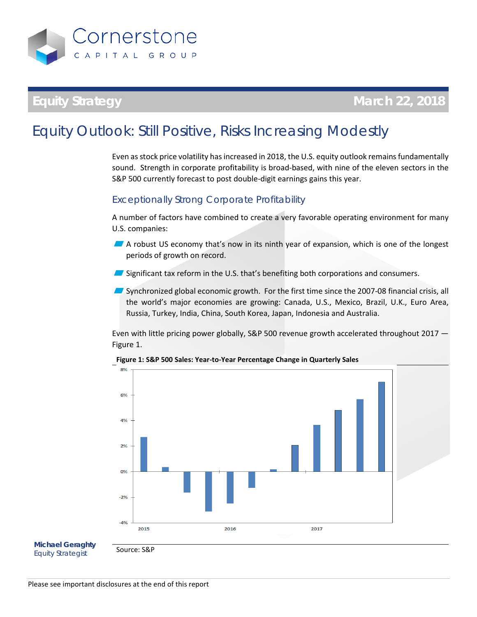

# **Equity Strategy March 22, 2018**

# Equity Outlook: Still Positive, Risks Increasing Modestly

Even as stock price volatility has increased in 2018, the U.S. equity outlook remains fundamentally sound. Strength in corporate profitability is broad-based, with nine of the eleven sectors in the S&P 500 currently forecast to post double-digit earnings gains this year.

## Exceptionally Strong Corporate Profitability

A number of factors have combined to create a very favorable operating environment for many U.S. companies:

- A robust US economy that's now in its ninth year of expansion, which is one of the longest periods of growth on record.
- $\blacksquare$  Significant tax reform in the U.S. that's benefiting both corporations and consumers.
- Synchronized global economic growth. For the first time since the 2007-08 financial crisis, all the world's major economies are growing: Canada, U.S., Mexico, Brazil, U.K., Euro Area, Russia, Turkey, India, China, South Korea, Japan, Indonesia and Australia.

Even with little pricing power globally, S&P 500 revenue growth accelerated throughout 2017 — Figure 1.



**Figure 1: S&P 500 Sales: Year-to-Year Percentage Change in Quarterly Sales**

Michael Geraghty **Contact Geraghty Contact S&P** *Equity Strategist*

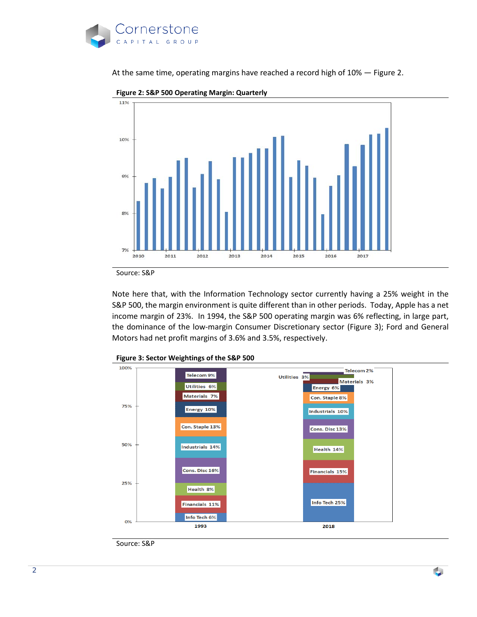

At the same time, operating margins have reached a record high of 10% — Figure 2.



**Figure 2: S&P 500 Operating Margin: Quarterly**

Source: S&P

Note here that, with the Information Technology sector currently having a 25% weight in the S&P 500, the margin environment is quite different than in other periods. Today, Apple has a net income margin of 23%. In 1994, the S&P 500 operating margin was 6% reflecting, in large part, the dominance of the low-margin Consumer Discretionary sector (Figure 3); Ford and General Motors had net profit margins of 3.6% and 3.5%, respectively.



**Figure 3: Sector Weightings of the S&P 500**

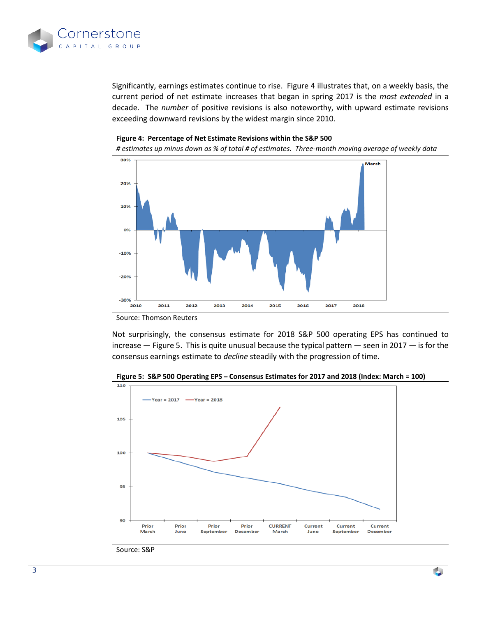

Significantly, earnings estimates continue to rise. Figure 4 illustrates that, on a weekly basis, the current period of net estimate increases that began in spring 2017 is the *most extended* in a decade. The *number* of positive revisions is also noteworthy, with upward estimate revisions exceeding downward revisions by the widest margin since 2010.

#### **Figure 4: Percentage of Net Estimate Revisions within the S&P 500**



*# estimates up minus down as % of total # of estimates. Three-month moving average of weekly data*

Not surprisingly, the consensus estimate for 2018 S&P 500 operating EPS has continued to increase — Figure 5. This is quite unusual because the typical pattern — seen in 2017 — is for the consensus earnings estimate to *decline* steadily with the progression of time.



٥

**Figure 5: S&P 500 Operating EPS ̶Consensus Estimates for 2017 and 2018 (Index: March = 100)**

Source: S&P

Source: Thomson Reuters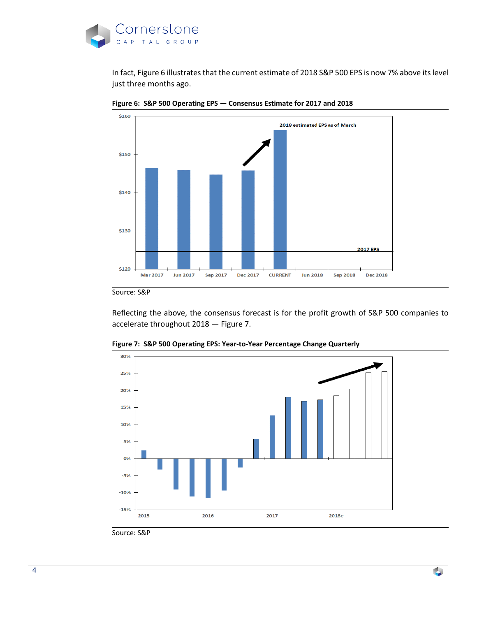

In fact, Figure 6 illustrates that the current estimate of 2018 S&P 500 EPS is now 7% above its level just three months ago.





Source: S&P

Reflecting the above, the consensus forecast is for the profit growth of S&P 500 companies to accelerate throughout 2018 — Figure 7.



t,

**Figure 7: S&P 500 Operating EPS: Year-to-Year Percentage Change Quarterly**

Source: S&P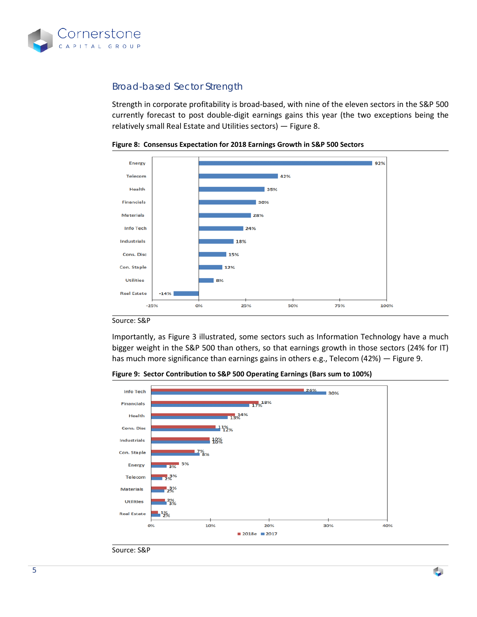

# Broad-based Sector Strength

Strength in corporate profitability is broad-based, with nine of the eleven sectors in the S&P 500 currently forecast to post double-digit earnings gains this year (the two exceptions being the relatively small Real Estate and Utilities sectors) — Figure 8.





Source: S&P

Importantly, as Figure 3 illustrated, some sectors such as Information Technology have a much bigger weight in the S&P 500 than others, so that earnings growth in those sectors (24% for IT) has much more significance than earnings gains in others e.g., Telecom (42%) — Figure 9.





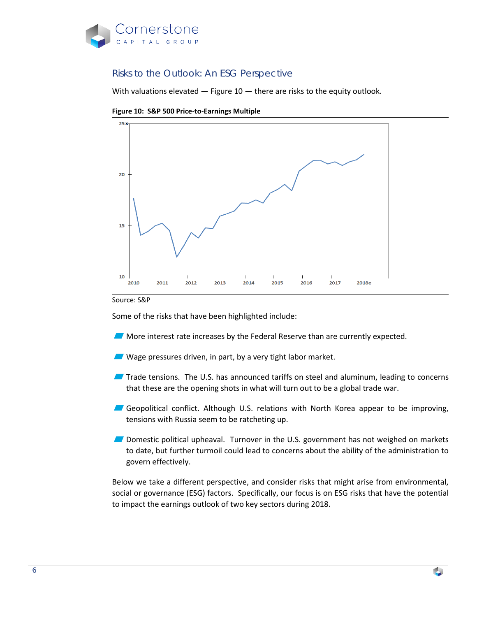

# Risks to the Outlook: An ESG Perspective

With valuations elevated — Figure 10 — there are risks to the equity outlook.



**Figure 10: S&P 500 Price-to-Earnings Multiple**

Some of the risks that have been highlighted include:

- **More interest rate increases by the Federal Reserve than are currently expected.**
- $\blacksquare$  Wage pressures driven, in part, by a very tight labor market.
- Trade tensions. The U.S. has announced tariffs on steel and aluminum, leading to concerns that these are the opening shots in what will turn out to be a global trade war.
- Geopolitical conflict. Although U.S. relations with North Korea appear to be improving, tensions with Russia seem to be ratcheting up.
- $\qquad \qquad$ Domestic political upheaval. Turnover in the U.S. government has not weighed on markets to date, but further turmoil could lead to concerns about the ability of the administration to govern effectively.

Below we take a different perspective, and consider risks that might arise from environmental, social or governance (ESG) factors. Specifically, our focus is on ESG risks that have the potential to impact the earnings outlook of two key sectors during 2018.

Source: S&P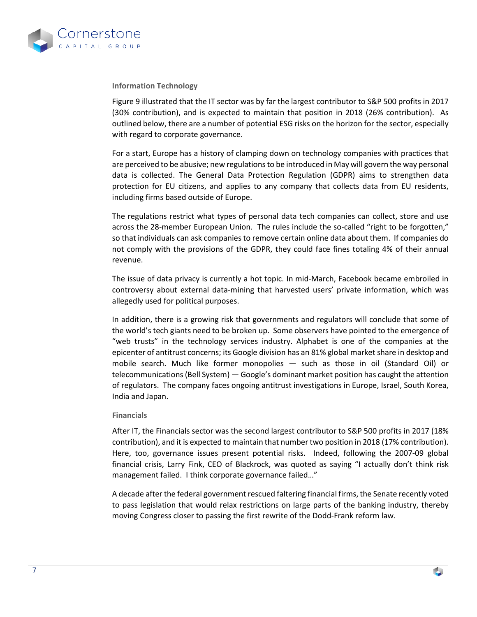

#### **Information Technology**

Figure 9 illustrated that the IT sector was by far the largest contributor to S&P 500 profits in 2017 (30% contribution), and is expected to maintain that position in 2018 (26% contribution). As outlined below, there are a number of potential ESG risks on the horizon for the sector, especially with regard to corporate governance.

For a start, Europe has a history of clamping down on technology companies with practices that are perceived to be abusive; new regulations to be introduced in May will govern the way personal data is collected. The General Data Protection Regulation (GDPR) aims to strengthen data protection for EU citizens, and applies to any company that collects data from EU residents, including firms based outside of Europe.

The regulations restrict what types of personal data tech companies can collect, store and use across the 28-member European Union. The rules include the so-called "right to be forgotten," so that individuals can ask companies to remove certain online data about them. If companies do not comply with the provisions of the GDPR, they could face fines totaling 4% of their annual revenue.

The issue of data privacy is currently a hot topic. In mid-March, Facebook became embroiled in controversy about external data-mining that harvested users' private information, which was allegedly used for political purposes.

In addition, there is a growing risk that governments and regulators will conclude that some of the world's tech giants need to be broken up. Some observers have pointed to the emergence of "web trusts" in the technology services industry. Alphabet is one of the companies at the epicenter of antitrust concerns; its Google division has an 81% global market share in desktop and mobile search. Much like former monopolies — such as those in oil (Standard Oil) or telecommunications (Bell System) — Google's dominant market position has caught the attention of regulators. The company faces ongoing antitrust investigations in Europe, Israel, South Korea, India and Japan.

#### **Financials**

After IT, the Financials sector was the second largest contributor to S&P 500 profits in 2017 (18% contribution), and it is expected to maintain that number two position in 2018 (17% contribution). Here, too, governance issues present potential risks. Indeed, following the 2007-09 global financial crisis, Larry Fink, CEO of Blackrock, was quoted as saying "I actually don't think risk management failed. I think corporate governance failed…"

A decade after the federal government rescued faltering financial firms, the Senate recently voted to pass legislation that would relax restrictions on large parts of the banking industry, thereby moving Congress closer to passing the first rewrite of the Dodd-Frank reform law.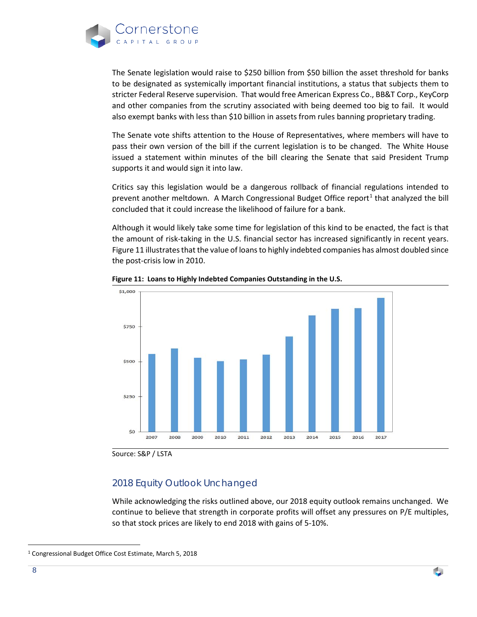

The Senate legislation would raise to \$250 billion from \$50 billion the asset threshold for banks to be designated as systemically important financial institutions, a status that subjects them to stricter Federal Reserve supervision. That would free American Express Co., BB&T Corp., KeyCorp and other companies from the scrutiny associated with being deemed too big to fail. It would also exempt banks with less than \$10 billion in assets from rules banning proprietary trading.

The Senate vote shifts attention to the House of Representatives, where members will have to pass their own version of the bill if the current legislation is to be changed. The White House issued a statement within minutes of the bill clearing the Senate that said President Trump supports it and would sign it into law.

Critics say this legislation would be a dangerous rollback of financial regulations intended to prevent another meltdown. A March Congressional Budget Office report<sup>[1](#page-7-0)</sup> that analyzed the bill concluded that it could increase the likelihood of failure for a bank.

Although it would likely take some time for legislation of this kind to be enacted, the fact is that the amount of risk-taking in the U.S. financial sector has increased significantly in recent years. Figure 11 illustrates that the value of loans to highly indebted companies has almost doubled since the post-crisis low in 2010.





# 2018 Equity Outlook Unchanged

While acknowledging the risks outlined above, our 2018 equity outlook remains unchanged. We continue to believe that strength in corporate profits will offset any pressures on P/E multiples, so that stock prices are likely to end 2018 with gains of 5-10%.

٥

 $\overline{a}$ 

Source: S&P / LSTA

<span id="page-7-0"></span><sup>1</sup> Congressional Budget Office Cost Estimate, March 5, 2018